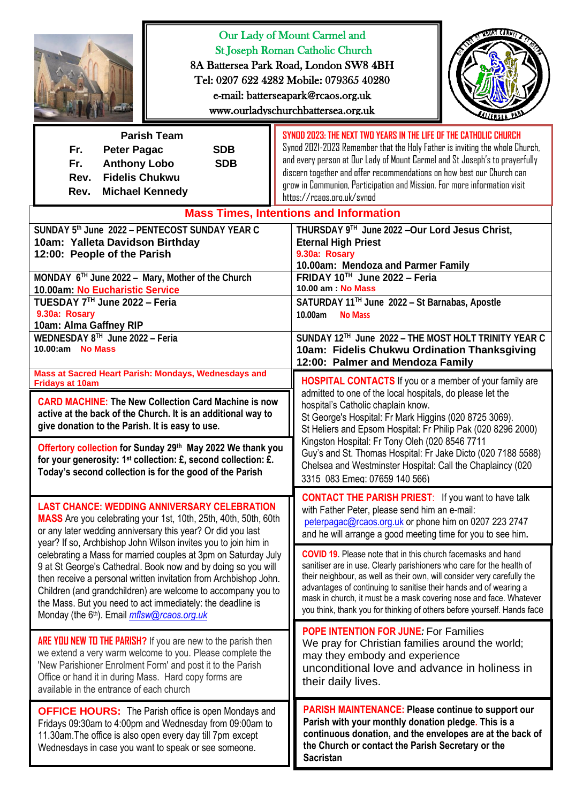| Our Lady of Mount Carmel and<br><b>St Joseph Roman Catholic Church</b><br>8A Battersea Park Road, London SW8 4BH<br>Tel: 0207 622 4282 Mobile: 079365 40280<br>e-mail: batterseapark@rcaos.org.uk<br>www.ourladyschurchbattersea.org.uk                                                                                                                                                                                                                                |                                                                                                                                                                                                                                                                                                                                                                                                                                                                                                              |
|------------------------------------------------------------------------------------------------------------------------------------------------------------------------------------------------------------------------------------------------------------------------------------------------------------------------------------------------------------------------------------------------------------------------------------------------------------------------|--------------------------------------------------------------------------------------------------------------------------------------------------------------------------------------------------------------------------------------------------------------------------------------------------------------------------------------------------------------------------------------------------------------------------------------------------------------------------------------------------------------|
| <b>Parish Team</b><br>Fr.<br><b>Peter Pagac</b><br><b>SDB</b><br>Fr.<br><b>Anthony Lobo</b><br><b>SDB</b><br><b>Fidelis Chukwu</b><br>Rev.<br><b>Michael Kennedy</b><br>Rev.                                                                                                                                                                                                                                                                                           | SYNDD 2023: THE NEXT TWO YEARS IN THE LIFE OF THE CATHOLIC CHURCH<br>Synod 2021-2023 Remember that the Holy Father is inviting the whole Church,<br>and every person at Our Lady of Mount Carmel and St Joseph's to prayerfully<br>discern together and offer recommendations on how best our Church can<br>grow in Communion, Participation and Mission. For more information visit<br>https://rcaps.org.uk/svnod                                                                                           |
| SUNDAY 5th June 2022 - PENTECOST SUNDAY YEAR C<br>10am: Yalleta Davidson Birthday<br>12:00: People of the Parish<br>MONDAY 6TH June 2022 - Mary, Mother of the Church                                                                                                                                                                                                                                                                                                  | <b>Mass Times, Intentions and Information</b><br>THURSDAY 9TH June 2022 - Our Lord Jesus Christ,<br><b>Eternal High Priest</b><br>9.30a: Rosary<br>10.00am: Mendoza and Parmer Family<br>FRIDAY 10 <sup>TH</sup> June 2022 - Feria<br>10.00 am : No Mass                                                                                                                                                                                                                                                     |
| 10.00am: No Eucharistic Service<br>TUESDAY 7™ June 2022 - Feria<br>9.30a: Rosary<br>10am: Alma Gaffney RIP                                                                                                                                                                                                                                                                                                                                                             | SATURDAY 11™ June 2022 - St Barnabas, Apostle<br>10.00am<br><b>No Mass</b>                                                                                                                                                                                                                                                                                                                                                                                                                                   |
| WEDNESDAY 8TH June 2022 - Feria<br>10.00:am No Mass                                                                                                                                                                                                                                                                                                                                                                                                                    | SUNDAY 12TH June 2022 - THE MOST HOLT TRINITY YEAR C<br>10am: Fidelis Chukwu Ordination Thanksgiving<br>12:00: Palmer and Mendoza Family                                                                                                                                                                                                                                                                                                                                                                     |
| Mass at Sacred Heart Parish: Mondays, Wednesdays and<br><b>Fridays at 10am</b><br><b>CARD MACHINE: The New Collection Card Machine is now</b><br>active at the back of the Church. It is an additional way to<br>give donation to the Parish. It is easy to use.<br>Offertory collection for Sunday 29th May 2022 We thank you<br>for your generosity: 1 <sup>st</sup> collection: £, second collection: £.<br>Today's second collection is for the good of the Parish | <b>HOSPITAL CONTACTS</b> If you or a member of your family are<br>admitted to one of the local hospitals, do please let the<br>hospital's Catholic chaplain know.<br>St George's Hospital: Fr Mark Higgins (020 8725 3069).<br>St Heliers and Epsom Hospital: Fr Philip Pak (020 8296 2000)<br>Kingston Hospital: Fr Tony Oleh (020 8546 7711<br>Guy's and St. Thomas Hospital: Fr Jake Dicto (020 7188 5588)<br>Chelsea and Westminster Hospital: Call the Chaplaincy (020<br>3315 083 Emeg: 07659 140 566) |
| <b>LAST CHANCE: WEDDING ANNIVERSARY CELEBRATION</b><br>MASS Are you celebrating your 1st, 10th, 25th, 40th, 50th, 60th<br>or any later wedding anniversary this year? Or did you last<br>year? If so, Archbishop John Wilson invites you to join him in                                                                                                                                                                                                                | <b>CONTACT THE PARISH PRIEST:</b> If you want to have talk<br>with Father Peter, please send him an e-mail:<br>peterpagac@rcaos.org.uk or phone him on 0207 223 2747<br>and he will arrange a good meeting time for you to see him.                                                                                                                                                                                                                                                                          |
| celebrating a Mass for married couples at 3pm on Saturday July<br>9 at St George's Cathedral. Book now and by doing so you will<br>then receive a personal written invitation from Archbishop John.<br>Children (and grandchildren) are welcome to accompany you to<br>the Mass. But you need to act immediately: the deadline is<br>Monday (the 6th). Email <i>mflsw@rcaos.org.uk</i>                                                                                 | <b>COVID 19.</b> Please note that in this church facemasks and hand<br>sanitiser are in use. Clearly parishioners who care for the health of<br>their neighbour, as well as their own, will consider very carefully the<br>advantages of continuing to sanitise their hands and of wearing a<br>mask in church, it must be a mask covering nose and face. Whatever<br>you think, thank you for thinking of others before yourself. Hands face                                                                |
| ARE YOU NEW TO THE PARISH? If you are new to the parish then<br>we extend a very warm welcome to you. Please complete the<br>'New Parishioner Enrolment Form' and post it to the Parish<br>Office or hand it in during Mass. Hard copy forms are<br>available in the entrance of each church                                                                                                                                                                           | <b>POPE INTENTION FOR JUNE: For Families</b><br>We pray for Christian families around the world;<br>may they embody and experience<br>unconditional love and advance in holiness in<br>their daily lives.                                                                                                                                                                                                                                                                                                    |
| <b>OFFICE HOURS:</b> The Parish office is open Mondays and<br>Fridays 09:30am to 4:00pm and Wednesday from 09:00am to<br>11.30am. The office is also open every day till 7pm except<br>Wednesdays in case you want to speak or see someone.                                                                                                                                                                                                                            | <b>PARISH MAINTENANCE: Please continue to support our</b><br>Parish with your monthly donation pledge. This is a<br>continuous donation, and the envelopes are at the back of<br>the Church or contact the Parish Secretary or the<br><b>Sacristan</b>                                                                                                                                                                                                                                                       |